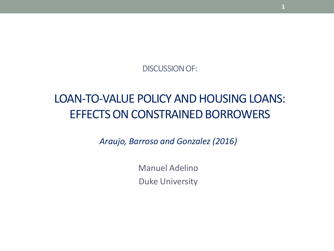DISCUSSION OF:

### LOAN-TO-VALUE POLICY AND HOUSING LOANS: EFFECTS ON CONSTRAINED BORROWERS

*Araujo, Barroso and Gonzalez (2016)*

Manuel Adelino Duke University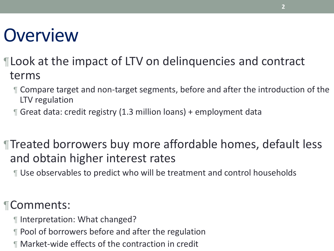# **Overview**

- ¶Look at the impact of LTV on delinquencies and contract terms
	- ¶ Compare target and non-target segments, before and after the introduction of the LTV regulation
	- ¶ Great data: credit registry (1.3 million loans) + employment data

¶Treated borrowers buy more affordable homes, default less and obtain higher interest rates

¶ Use observables to predict who will be treatment and control households

### ¶Comments:

- ¶ Interpretation: What changed?
- ¶ Pool of borrowers before and after the regulation
- ¶ Market-wide effects of the contraction in credit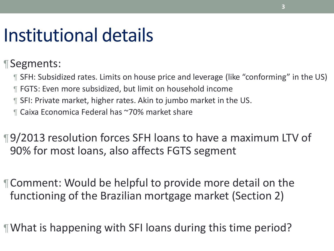# Institutional details

¶Segments:

¶ SFH: Subsidized rates. Limits on house price and leverage (like "conforming" in the US) ¶ FGTS: Even more subsidized, but limit on household income

- ¶ SFI: Private market, higher rates. Akin to jumbo market in the US.
- ¶ Caixa Economica Federal has ~70% market share

¶9/2013 resolution forces SFH loans to have a maximum LTV of 90% for most loans, also affects FGTS segment

¶Comment: Would be helpful to provide more detail on the functioning of the Brazilian mortgage market (Section 2)

¶What is happening with SFI loans during this time period?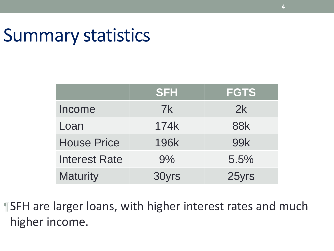### Summary statistics

|                      | <b>SFH</b>  | <b>FGTS</b> |
|----------------------|-------------|-------------|
| Income               | 7k          | 2k          |
| Loan                 | 174k        | <b>88k</b>  |
| <b>House Price</b>   | <b>196k</b> | <b>99k</b>  |
| <b>Interest Rate</b> | 9%          | 5.5%        |
| <b>Maturity</b>      | 30yrs       | 25yrs       |

¶SFH are larger loans, with higher interest rates and much higher income.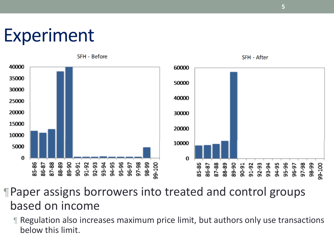# Experiment



¶Paper assigns borrowers into treated and control groups based on income

¶ Regulation also increases maximum price limit, but authors only use transactions below this limit.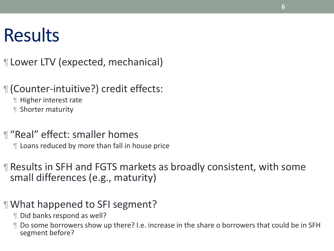# **Results**

¶ Lower LTV (expected, mechanical)

¶ (Counter-intuitive?) credit effects:

¶ Higher interest rate

¶ Shorter maturity

¶ "Real" effect: smaller homes

¶ Loans reduced by more than fall in house price

¶ Results in SFH and FGTS markets as broadly consistent, with some small differences (e.g., maturity)

#### ¶What happened to SFI segment?

¶ Did banks respond as well?

¶ Do some borrowers show up there? I.e. increase in the share o borrowers that could be in SFH segment before?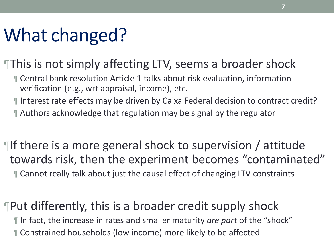# What changed?

### ¶This is not simply affecting LTV, seems a broader shock

- ¶ Central bank resolution Article 1 talks about risk evaluation, information verification (e.g., wrt appraisal, income), etc.
- ¶ Interest rate effects may be driven by Caixa Federal decision to contract credit?
- ¶ Authors acknowledge that regulation may be signal by the regulator

¶If there is a more general shock to supervision / attitude towards risk, then the experiment becomes "contaminated" ¶ Cannot really talk about just the causal effect of changing LTV constraints

¶Put differently, this is a broader credit supply shock ¶ In fact, the increase in rates and smaller maturity *are part* of the "shock" ¶ Constrained households (low income) more likely to be affected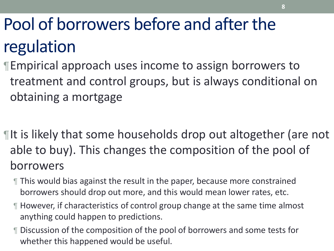# Pool of borrowers before and after the regulation

- ¶Empirical approach uses income to assign borrowers to treatment and control groups, but is always conditional on obtaining a mortgage
- ¶It is likely that some households drop out altogether (are not able to buy). This changes the composition of the pool of borrowers
	- ¶ This would bias against the result in the paper, because more constrained borrowers should drop out more, and this would mean lower rates, etc.
	- ¶ However, if characteristics of control group change at the same time almost anything could happen to predictions.
	- ¶ Discussion of the composition of the pool of borrowers and some tests for whether this happened would be useful.